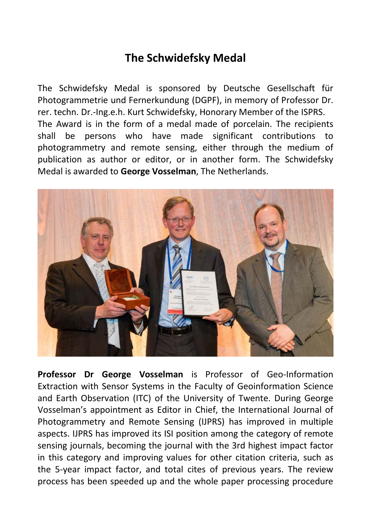## **The Schwidefsky Medal**

The Schwidefsky Medal is sponsored by Deutsche Gesellschaft für Photogrammetrie und Fernerkundung (DGPF), in memory of Professor Dr. rer. techn. Dr.-Ing.e.h. Kurt Schwidefsky, Honorary Member of the ISPRS. The Award is in the form of a medal made of porcelain. The recipients shall be persons who have made significant contributions to photogrammetry and remote sensing, either through the medium of publication as author or editor, or in another form. The Schwidefsky Medal is awarded to **George Vosselman**, The Netherlands.



**Professor Dr George Vosselman** is Professor of Geo-Information Extraction with Sensor Systems in the Faculty of Geoinformation Science and Earth Observation (ITC) of the University of Twente. During George Vosselman's appointment as Editor in Chief, the International Journal of Photogrammetry and Remote Sensing (IJPRS) has improved in multiple aspects. IJPRS has improved its ISI position among the category of remote sensing journals, becoming the journal with the 3rd highest impact factor in this category and improving values for other citation criteria, such as the 5-year impact factor, and total cites of previous years. The review process has been speeded up and the whole paper processing procedure